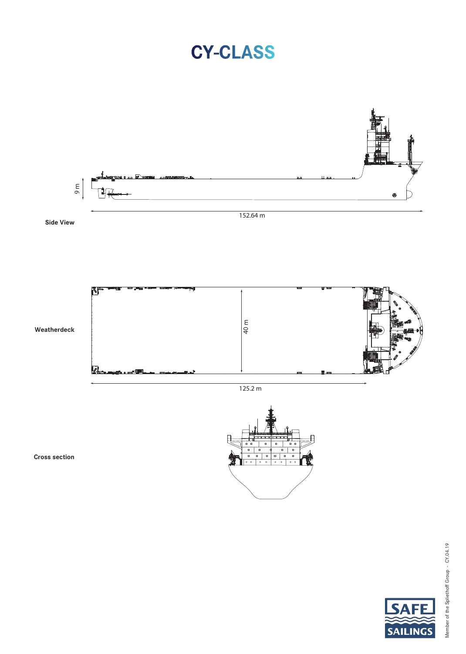## **CY-CLASS**



152.64 m

**Side View**



125.2 m



**Cross section**



**SA**